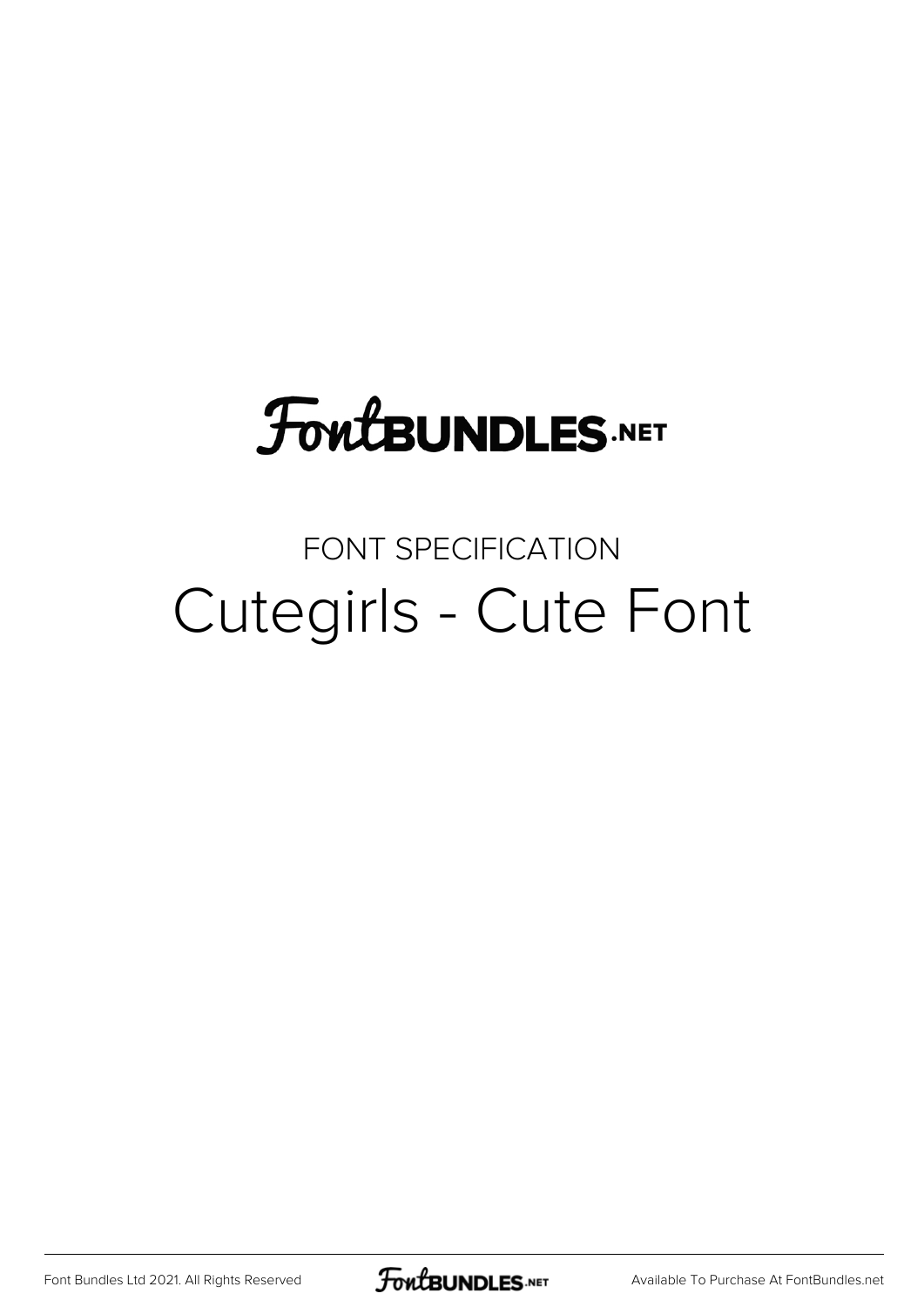# **FoutBUNDLES.NET**

## FONT SPECIFICATION Cutegirls - Cute Font

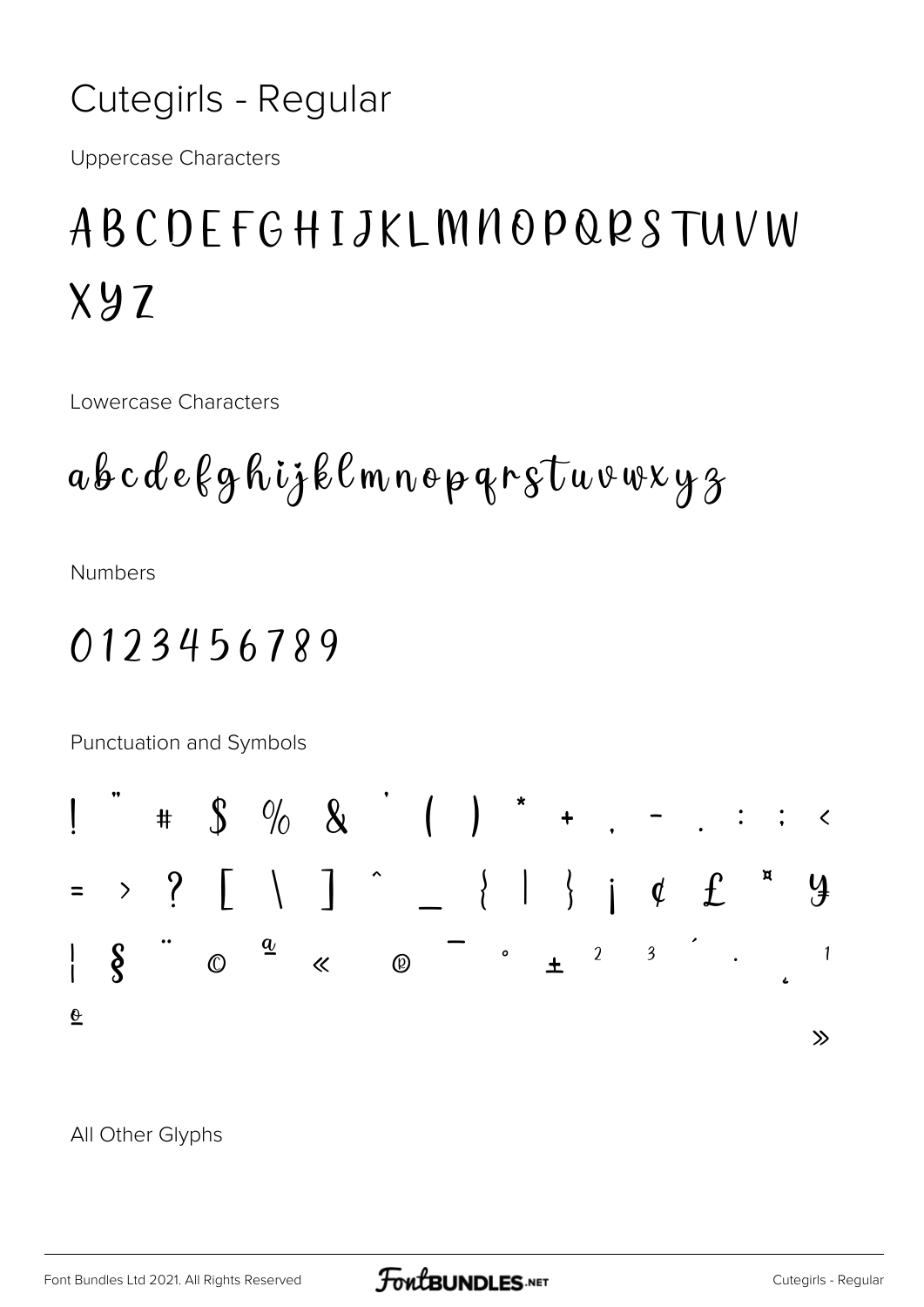#### Cutegirls - Regular

**Uppercase Characters** 

## ABCDEFGHIJKLMNOPQRSTUVW  $XYZ$

Lowercase Characters

**Numbers** 

### 0123456789

Punctuation and Symbols



#### All Other Glyphs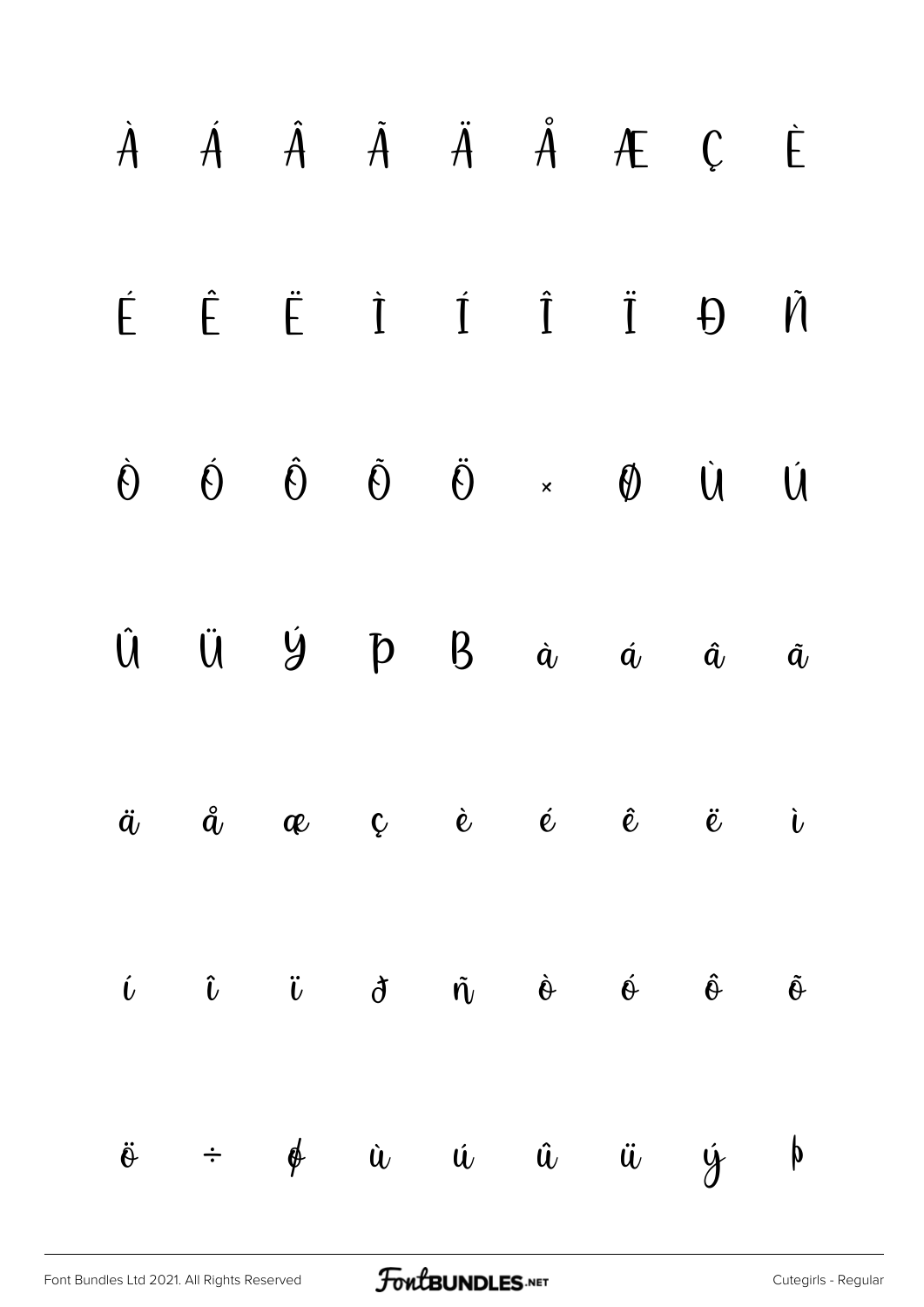|  |  |  | $\dot{A}$ $\dot{A}$ $\dot{A}$ $\ddot{A}$ $\ddot{A}$ $\dot{A}$ $\dot{C}$ $\dot{C}$                                                                                                                                                                                                                                                                                                                                                |          |                       |
|--|--|--|----------------------------------------------------------------------------------------------------------------------------------------------------------------------------------------------------------------------------------------------------------------------------------------------------------------------------------------------------------------------------------------------------------------------------------|----------|-----------------------|
|  |  |  | $\begin{array}{ccccccccccccc}\n\acute{\mathsf{E}}&\hat{\mathsf{E}}&\hat{\mathsf{E}}&\hat{\mathsf{I}}&\hat{\mathsf{I}}&\hat{\mathsf{I}}&\hat{\mathsf{I}}&\n\end{array}$                                                                                                                                                                                                                                                           | $\theta$ | $\tilde{\mathcal{M}}$ |
|  |  |  | $\dot{\Theta} \qquad \dot{\Theta} \qquad \dot{\Theta} \qquad \ddot{\Theta} \qquad \ddot{\Theta} \qquad \star \qquad \Phi \qquad \dot{\Theta} \qquad \dot{\Theta}$                                                                                                                                                                                                                                                                |          | Ú                     |
|  |  |  | $\hat{U}$ $\ddot{U}$ $\dot{Y}$ $\dot{P}$ $B$ $\dot{a}$ $\dot{a}$ $\dot{a}$                                                                                                                                                                                                                                                                                                                                                       |          | $\tilde{\bm{a}}$      |
|  |  |  | $\ddot{a}$ $\ddot{a}$ $\alpha$ $\zeta$ $\dot{e}$ $\dot{e}$ $\ddot{e}$ $\ddot{e}$ $\ddot{e}$                                                                                                                                                                                                                                                                                                                                      |          |                       |
|  |  |  | $\begin{array}{ccccccccccccccccc} \hat{U} && \hat{U} && \hat{U} && \hat{U} && \hat{U} && \hat{U} && \hat{U} && \hat{U} && \hat{U} && \hat{U} && \hat{U} && \hat{U} && \hat{U} && \hat{U} && \hat{U} && \hat{U} && \hat{U} && \hat{U} && \hat{U} && \hat{U} && \hat{U} && \hat{U} && \hat{U} && \hat{U} && \hat{U} && \hat{U} && \hat{U} && \hat{U} && \hat{U} && \hat{U} && \hat{U} && \hat{U} && \hat{U} && \hat{U} && \hat{U}$ |          |                       |
|  |  |  | $\ddot{\theta}$ ÷ $\phi$ à ú û ü ý þ                                                                                                                                                                                                                                                                                                                                                                                             |          |                       |